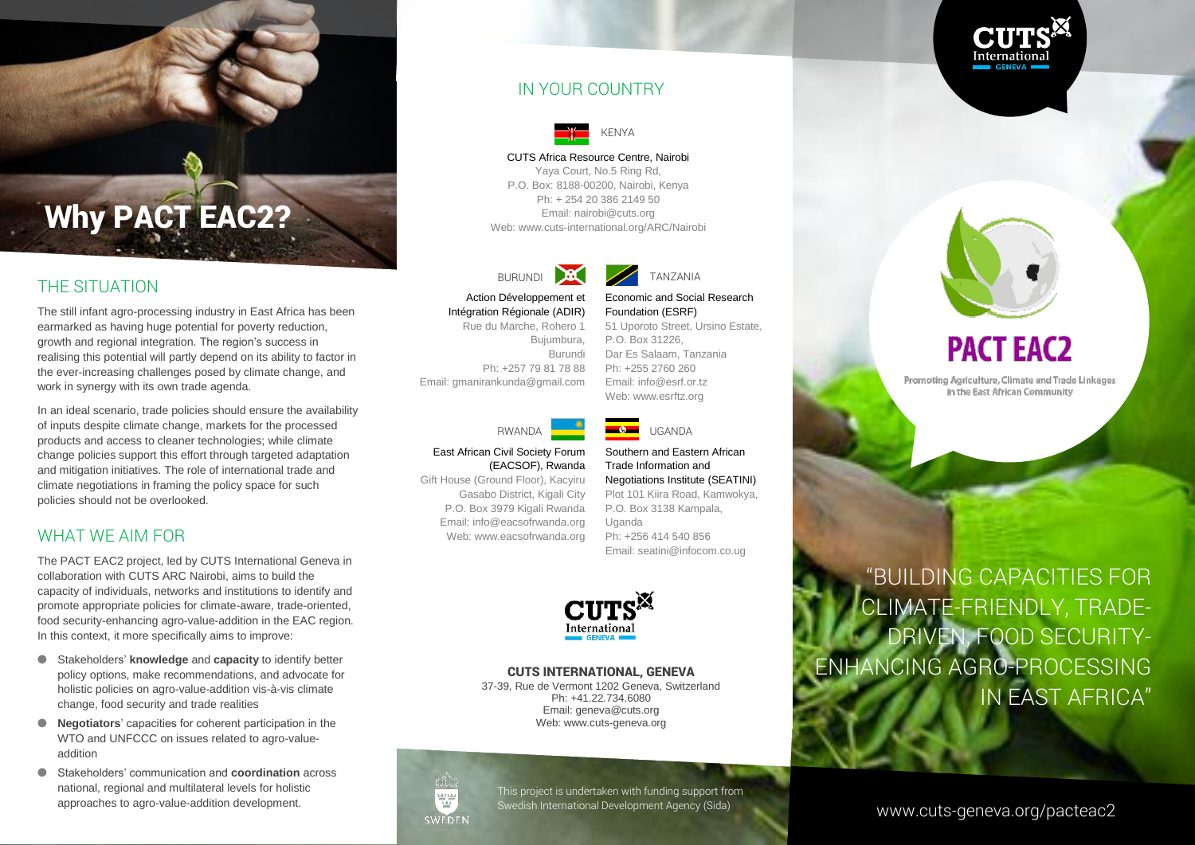

#### IN YOUR COUNTRY



#### CUTS Africa Resource Centre, Nairobi

Yaya Court, No.5 Ring Rd, P.O. Box: 8188-00200, Nairobi, Kenya Ph: + 254 20 386 2149 50 Email: nairobi@cuts.org Web[: www.cuts-international.org/ARC/Nairobi](http://www.cuts-international.org/ARC/Nairobi)



Action Développement et Intégration Régionale (ADIR) Rue du Marche, Rohero 1 Bujumbura, Burundi Economic and Social Research Foundation (ESRF) 51 Uporoto Street, Ursino Estate, P.O. Box 31226, Dar Es Salaam, Tanzania Ph: +255 2760 260

RWANDA **WARDA UGANDA** 

Email: info@esrf.or.tz Web[: www.esrftz.org](http://www.esrftz.org/)

(EACSOF), Rwanda

P.O. Box 3979 Kigali Rwanda Web: www.eacsofrwanda.org

Trade Information and Negotiations Institute (SEATINI) Plot 101 Kiira Road, Kamwokya, P.O. Box 3138 Kampala, Uganda Ph: +256 414 540 856 Email: seatini@infocom.co.ug

Southern and Eastern African



#### CUTS INTERNATIONAL, GENEVA

37-39, Rue de Vermont 1202 Geneva, Switzerland Ph: +41.22.734.6080 Email: geneva@cuts.org Web: www.cuts-geneva.org



This project is undertaken with funding support from Swedish International Development Agency (Sida)

## **PACT EAC2**

Promoting Agriculture, Climate and Trade Linkages in the East African Community

"BUILDING CAPACITIES FOR CLIMATE-FRIENDLY, TRADE-DRIVEN, FOOD SECURITY-ENHANCING AGRO-PROCESSING IN EAST AFRICA"

#### www.cuts-geneva.org/pacteac2

# The still infant agro-processing industry in East Africa has been

Ph: +257 79 81 78 88 Email: gmanirankunda@gmail.com



## East African Civil Society Forum

Gift House (Ground Floor), Kacyiru Gasabo District, Kigali City Email: info@eacsofrwanda.org

#### WHAT WE AIM FOR

policies should not be overlooked.

THE SITUATION

The PACT EAC2 project, led by CUTS International Geneva in collaboration with CUTS ARC Nairobi, aims to build the capacity of individuals, networks and institutions to identify and promote appropriate policies for climate-aware, trade-oriented, food security-enhancing agro-value-addition in the EAC region. In this context, it more specifically aims to improve:

Why PACT EAC2?

earmarked as having huge potential for poverty reduction, growth and regional integration. The region's success in realising this potential will partly depend on its ability to factor in the ever-increasing challenges posed by climate change, and

In an ideal scenario, trade policies should ensure the availability of inputs despite climate change, markets for the processed products and access to cleaner technologies; while climate change policies support this effort through targeted adaptation and mitigation initiatives. The role of international trade and climate negotiations in framing the policy space for such

work in synergy with its own trade agenda.

- Stakeholders' **knowledge** and **capacity** to identify better policy options, make recommendations, and advocate for holistic policies on agro-value-addition vis-à-vis climate change, food security and trade realities
- **Negotiators**' capacities for coherent participation in the WTO and UNFCCC on issues related to agro-valueaddition
- Stakeholders' communication and **coordination** across national, regional and multilateral levels for holistic approaches to agro-value-addition development.